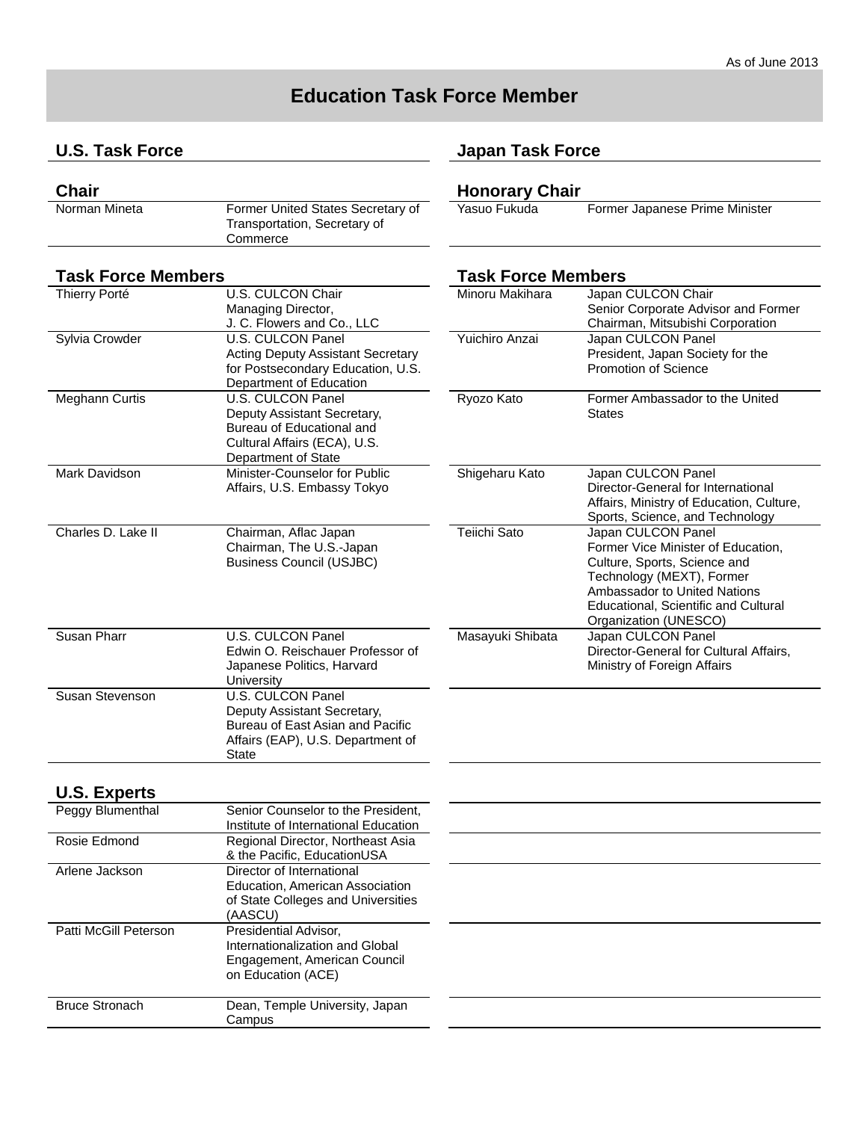# **Education Task Force Member**

## **U.S. Task Force**

| <b>Chair</b>  |                                                                   | <b>Honorary Chair</b> |
|---------------|-------------------------------------------------------------------|-----------------------|
| Norman Mineta | Former United States Secretary of<br>Transportation, Secretary of | Yasuo Fukuda          |
|               | Commerce                                                          |                       |

### **Task Force Members Task Force Members**

| U.S. CULCON Chair                        | Minoru I                                                                                                                                                                                                                                                                                    |
|------------------------------------------|---------------------------------------------------------------------------------------------------------------------------------------------------------------------------------------------------------------------------------------------------------------------------------------------|
|                                          |                                                                                                                                                                                                                                                                                             |
|                                          |                                                                                                                                                                                                                                                                                             |
| U.S. CULCON Panel                        | Yuichiro                                                                                                                                                                                                                                                                                    |
| <b>Acting Deputy Assistant Secretary</b> |                                                                                                                                                                                                                                                                                             |
| for Postsecondary Education, U.S.        |                                                                                                                                                                                                                                                                                             |
| Department of Education                  |                                                                                                                                                                                                                                                                                             |
| U.S. CULCON Panel                        | Ryozo k                                                                                                                                                                                                                                                                                     |
| Deputy Assistant Secretary,              |                                                                                                                                                                                                                                                                                             |
| Bureau of Educational and                |                                                                                                                                                                                                                                                                                             |
| Cultural Affairs (ECA), U.S.             |                                                                                                                                                                                                                                                                                             |
| Department of State                      |                                                                                                                                                                                                                                                                                             |
| Minister-Counselor for Public            | Shigeha                                                                                                                                                                                                                                                                                     |
| Affairs, U.S. Embassy Tokyo              |                                                                                                                                                                                                                                                                                             |
|                                          |                                                                                                                                                                                                                                                                                             |
|                                          |                                                                                                                                                                                                                                                                                             |
| Chairman, Aflac Japan                    | Teiichi S                                                                                                                                                                                                                                                                                   |
| Chairman, The U.S.-Japan                 |                                                                                                                                                                                                                                                                                             |
| <b>Business Council (USJBC)</b>          |                                                                                                                                                                                                                                                                                             |
|                                          |                                                                                                                                                                                                                                                                                             |
|                                          |                                                                                                                                                                                                                                                                                             |
|                                          |                                                                                                                                                                                                                                                                                             |
|                                          |                                                                                                                                                                                                                                                                                             |
|                                          | Masayu                                                                                                                                                                                                                                                                                      |
|                                          |                                                                                                                                                                                                                                                                                             |
|                                          |                                                                                                                                                                                                                                                                                             |
|                                          |                                                                                                                                                                                                                                                                                             |
|                                          |                                                                                                                                                                                                                                                                                             |
|                                          |                                                                                                                                                                                                                                                                                             |
|                                          |                                                                                                                                                                                                                                                                                             |
|                                          |                                                                                                                                                                                                                                                                                             |
|                                          |                                                                                                                                                                                                                                                                                             |
|                                          | Managing Director,<br>J. C. Flowers and Co., LLC<br>U.S. CULCON Panel<br>Edwin O. Reischauer Professor of<br>Japanese Politics, Harvard<br>University<br>U.S. CULCON Panel<br>Deputy Assistant Secretary,<br>Bureau of East Asian and Pacific<br>Affairs (EAP), U.S. Department of<br>State |

## **U.S. Experts**

| Peggy Blumenthal      | Senior Counselor to the President,<br>Institute of International Education                                     |  |
|-----------------------|----------------------------------------------------------------------------------------------------------------|--|
| Rosie Edmond          | Regional Director, Northeast Asia<br>& the Pacific, EducationUSA                                               |  |
| Arlene Jackson        | Director of International<br>Education, American Association<br>of State Colleges and Universities<br>(AASCU)  |  |
| Patti McGill Peterson | Presidential Advisor.<br>Internationalization and Global<br>Engagement, American Council<br>on Education (ACE) |  |
| <b>Bruce Stronach</b> | Dean, Temple University, Japan<br>Campus                                                                       |  |

## **Japan Task Force**

| Minoru Makihara  | Japan CULCON Chair<br>Senior Corporate Advisor and Former<br>Chairman, Mitsubishi Corporation                                                                                                                                 |
|------------------|-------------------------------------------------------------------------------------------------------------------------------------------------------------------------------------------------------------------------------|
| Yuichiro Anzai   | Japan CULCON Panel<br>President, Japan Society for the<br>Promotion of Science                                                                                                                                                |
| Ryozo Kato       | Former Ambassador to the United<br><b>States</b>                                                                                                                                                                              |
| Shigeharu Kato   | Japan CULCON Panel<br>Director-General for International<br>Affairs, Ministry of Education, Culture,<br>Sports, Science, and Technology                                                                                       |
| Teiichi Sato     | Japan CULCON Panel<br>Former Vice Minister of Education,<br>Culture, Sports, Science and<br>Technology (MEXT), Former<br>Ambassador to United Nations<br><b>Educational, Scientific and Cultural</b><br>Organization (UNESCO) |
| Masayuki Shibata | Japan CULCON Panel<br>Director-General for Cultural Affairs,<br>Ministry of Foreign Affairs                                                                                                                                   |

Former Japanese Prime Minister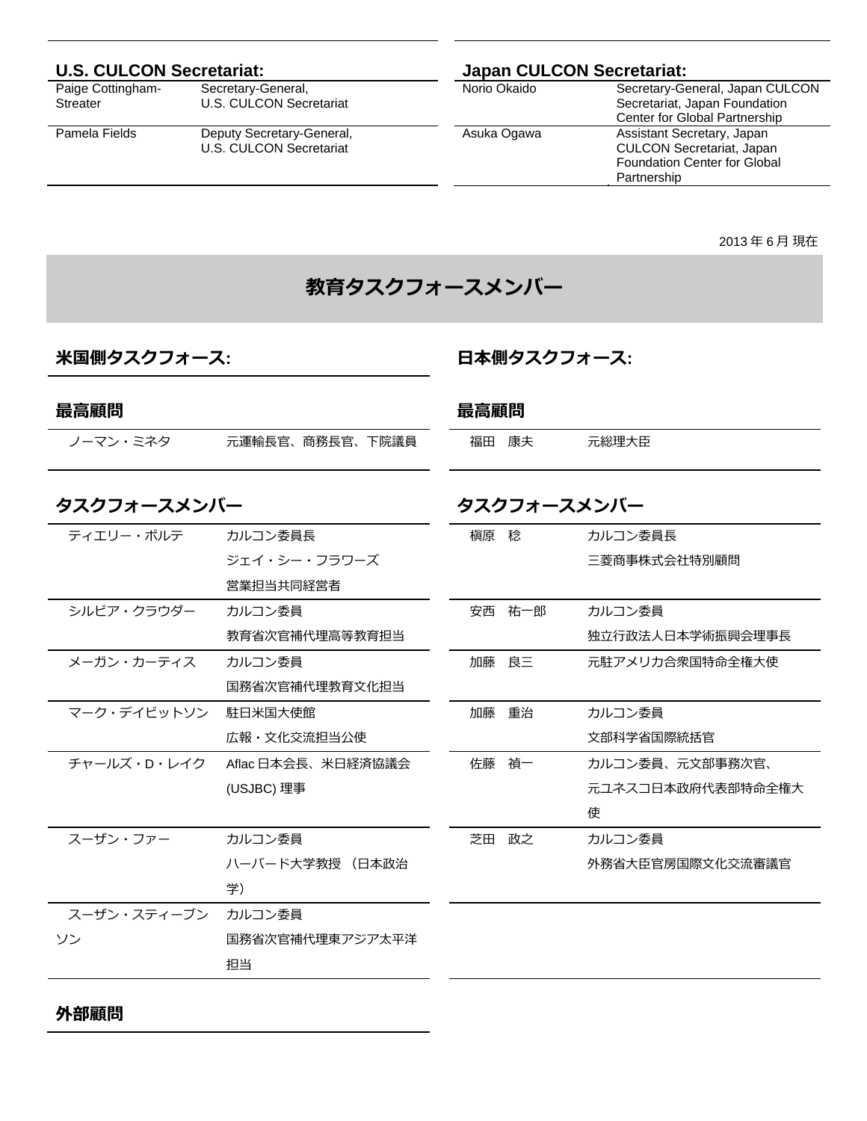| Paige Cottingham- |
|-------------------|
| Streater          |

Secretary-General, U.S. CULCON Secretariat

Pamela Fields Deputy Secretary-General, U.S. CULCON Secretariat

# **U.S. CULCON Secretariat:** <br>
Paige Cottingham-<br>
Secretary-General, <br> **Correctery-General,** <br>
Norio Okaido Secretary-General,

Secretary-General, Japan CULCON Secretariat, Japan Foundation Center for Global Partnership Asuka Ogawa Assistant Secretary, Japan CULCON Secretariat, Japan Foundation Center for Global Partnership

2013 年 6 ⽉ 現在

# **教育タスクフォースメンバー**

## **⽶国側タスクフォース:**

**⽇本側タスクフォース:** 

| 最高顧問        |                   | 最高顧問 |        |                   |
|-------------|-------------------|------|--------|-------------------|
| ノーマン・ミネタ    | 元運輸長官、商務長官、下院議員   | 福田   | 康夫     | 元総理大臣             |
| タスクフォースメンバー |                   |      |        | タスクフォースメンバー       |
| ティエリー・ポルテ   | カルコン委員長           | 槇原 稔 |        | カルコン委員長           |
|             | ジェイ・シー・フラワーズ      |      |        | 三菱商事株式会社特別顧問      |
|             | 営業担当共同経営者         |      |        |                   |
| シルビア・クラウダー  | カルコン委員            |      | 安西 祐一郎 | カルコン委員            |
|             | 教育省次官補代理高等教育担当    |      |        | 独立行政法人日本学術振興会理事長  |
| メーガン・カーティス  | カルコン委員            |      | 加藤良三   | 元駐アメリカ合衆国特命全権大使   |
|             | 国務省次官補代理教育文化担当    |      |        |                   |
| マーク・デイビットソン | 駐日米国大使館           |      | 加藤 重治  | カルコン委員            |
|             | 広報・文化交流担当公使       |      |        | 文部科学省国際統括官        |
| チャールズ・D・レイク | Aflac日本会長、米日経済協議会 |      | 佐藤 禎一  | カルコン委員、元文部事務次官、   |
|             | (USJBC) 理事        |      |        | 元ユネスコ日本政府代表部特命全権大 |
|             |                   |      |        | 使                 |
| スーザン・ファー    | カルコン委員            |      | 芝田 政之  | カルコン委員            |
|             | ハーバード大学教授 (日本政治   |      |        | 外務省大臣官房国際文化交流審議官  |
|             | 学)                |      |        |                   |
| スーザン・スティーブン | カルコン委員            |      |        |                   |
| ソン          | 国務省次官補代理東アジア太平洋   |      |        |                   |
|             | 担当                |      |        |                   |
|             |                   |      |        |                   |

**外部顧問**